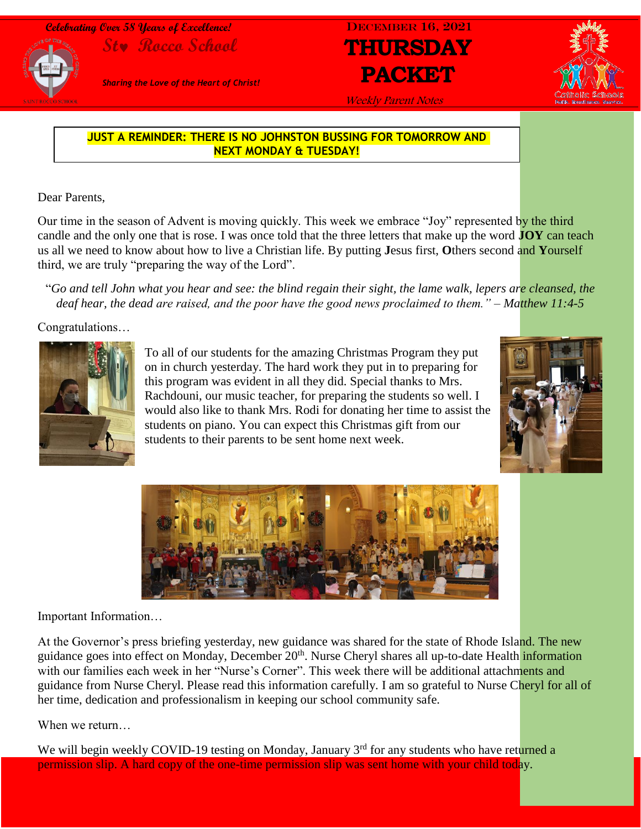**Celebrating Over 58 Years of Excellence!** DECEMBER 16, 2021



## **Sty Rocco School <b>THURSDAY** *Sharing the Love of the Heart of Christ!* **PACKET**



Weekly Parent Notes

#### **JUST A REMINDER: THERE IS NO JOHNSTON BUSSING FOR TOMORROW AND NEXT MONDAY & TUESDAY!**

Dear Parents,

Ι

Our time in the season of Advent is moving quickly. This week we embrace "Joy" represented by the third candle and the only one that is rose. I was once told that the three letters that make up the word **JOY** can teach us all we need to know about how to live a Christian life. By putting **J**esus first, **O**thers second and **Y**ourself third, we are truly "preparing the way of the Lord".

"*Go and tell John what you hear and see: the blind regain their sight, the lame walk, lepers are cleansed, the deaf hear, the dead are raised, and the poor have the good news proclaimed to them." – Matthew 11:4-5*

Congratulations…



To all of our students for the amazing Christmas Program they put on in church yesterday. The hard work they put in to preparing for this program was evident in all they did. Special thanks to Mrs. Rachdouni, our music teacher, for preparing the students so well. I would also like to thank Mrs. Rodi for donating her time to assist the students on piano. You can expect this Christmas gift from our students to their parents to be sent home next week.





Important Information…

At the Governor's press briefing yesterday, new guidance was shared for the state of Rhode Island. The new guidance goes into effect on Monday, December 20<sup>th</sup>. Nurse Cheryl shares all up-to-date Health information with our families each week in her "Nurse's Corner". This week there will be additional attachments and guidance from Nurse Cheryl. Please read this information carefully. I am so grateful to Nurse Cheryl for all of her time, dedication and professionalism in keeping our school community safe.

When we return…

We will begin weekly COVID-19 testing on Monday, January  $3<sup>rd</sup>$  for any students who have returned a permission slip. A hard copy of the one-time permission slip was sent home with your child today.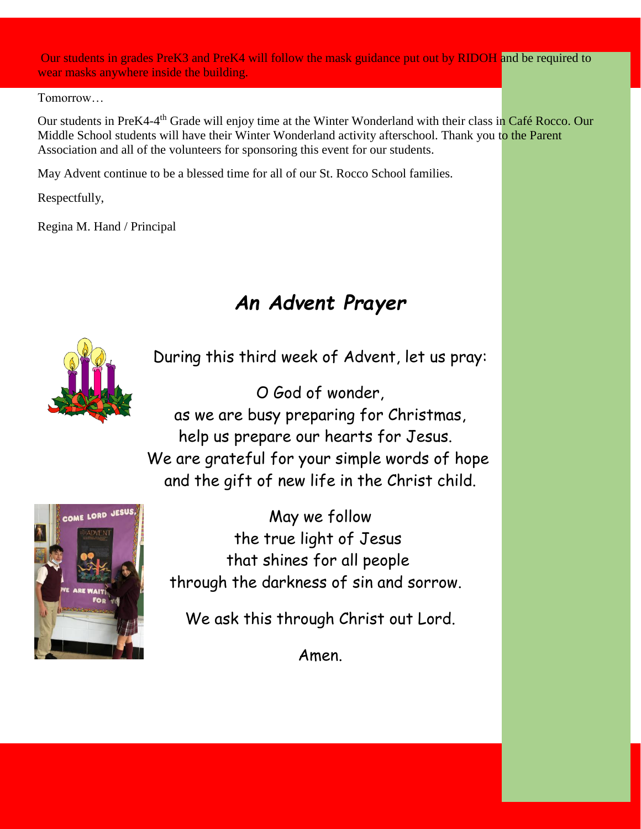Our students in grades PreK3 and PreK4 will follow the mask guidance put out by RIDOH and be required to wear masks anywhere inside the building.

Tomorrow…

Our students in PreK4-4<sup>th</sup> Grade will enjoy time at the Winter Wonderland with their class in Café Rocco. Our Middle School students will have their Winter Wonderland activity afterschool. Thank you to the Parent Association and all of the volunteers for sponsoring this event for our students.

May Advent continue to be a blessed time for all of our St. Rocco School families.

Respectfully,

Regina M. Hand / Principal

### *An Advent Prayer*



During this third week of Advent, let us pray:

O God of wonder, as we are busy preparing for Christmas, help us prepare our hearts for Jesus. We are grateful for your simple words of hope and the gift of new life in the Christ child.



May we follow the true light of Jesus that shines for all people through the darkness of sin and sorrow.

We ask this through Christ out Lord.

Amen.

j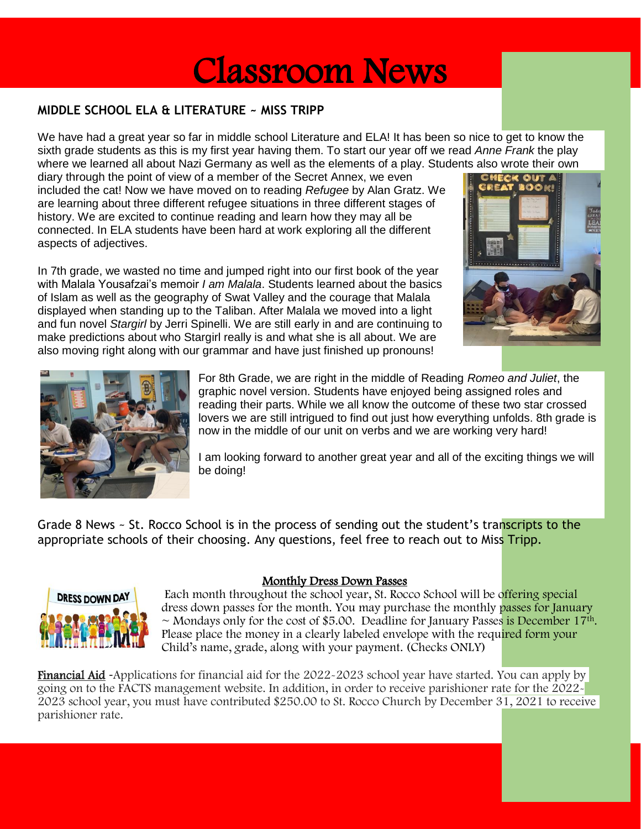# Classroom News

#### **MIDDLE SCHOOL ELA & LITERATURE ~ MISS TRIPP**

We have had a great year so far in middle school Literature and ELA! It has been so nice to get to know the sixth grade students as this is my first year having them. To start our year off we read *Anne Frank* the play where we learned all about Nazi Germany as well as the elements of a play. Students also wrote their own

diary through the point of view of a member of the Secret Annex, we even included the cat! Now we have moved on to reading *Refugee* by Alan Gratz. We are learning about three different refugee situations in three different stages of history. We are excited to continue reading and learn how they may all be connected. In ELA students have been hard at work exploring all the different aspects of adjectives.

In 7th grade, we wasted no time and jumped right into our first book of the year with Malala Yousafzai's memoir *I am Malala*. Students learned about the basics of Islam as well as the geography of Swat Valley and the courage that Malala displayed when standing up to the Taliban. After Malala we moved into a light and fun novel *Stargirl* by Jerri Spinelli. We are still early in and are continuing to make predictions about who Stargirl really is and what she is all about. We are also moving right along with our grammar and have just finished up pronouns!





For 8th Grade, we are right in the middle of Reading *Romeo and Juliet*, the graphic novel version. Students have enjoyed being assigned roles and reading their parts. While we all know the outcome of these two star crossed lovers we are still intrigued to find out just how everything unfolds. 8th grade is now in the middle of our unit on verbs and we are working very hard!

I am looking forward to another great year and all of the exciting things we will be doing!

Grade 8 News ~ St. Rocco School is in the process of sending out the student's transcripts to the appropriate schools of their choosing. Any questions, feel free to reach out to Miss Tripp.



#### Monthly Dress Down Passes

Each month throughout the school year, St. Rocco School will be offering special dress down passes for the month. You may purchase the monthly passes for January  $\sim$  Mondays only for the cost of \$5.00. Deadline for January Passes is December 17<sup>th</sup>. Please place the money in a clearly labeled envelope with the required form your Child's name, grade, along with your payment. (Checks ONLY)

Financial Aid -Applications for financial aid for the 2022-2023 school year have started. You can apply by going on to the FACTS management website. In addition, in order to receive parishioner rate for the 2022- 2023 school year, you must have contributed \$250.00 to St. Rocco Church by December 31, 2021 to receive parishioner rate.